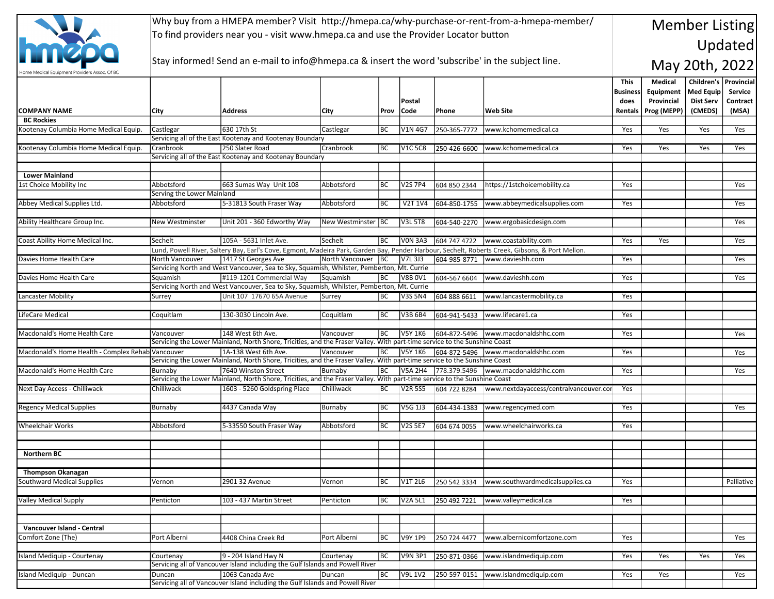

Why buy from a HMEPA member? Visit http://hmepa.ca/why-purchase-or-rent-from-a-hmepa-member/ To find providers near you - visit www.hmepa.ca and use the Provider Locator button

## Stay informed! Send an e-mail to info@hmepa.ca & insert the word 'subscribe' in the subject line.

## Member Listing Updated

May 20th, 2022

|                                                   |                                                                                                                                                                                                                                                                                |                                                                                                                                                   |                    |           |                |                      |                                            | This            | Medical     | Children's       | <b>Provincial</b> |
|---------------------------------------------------|--------------------------------------------------------------------------------------------------------------------------------------------------------------------------------------------------------------------------------------------------------------------------------|---------------------------------------------------------------------------------------------------------------------------------------------------|--------------------|-----------|----------------|----------------------|--------------------------------------------|-----------------|-------------|------------------|-------------------|
|                                                   |                                                                                                                                                                                                                                                                                |                                                                                                                                                   |                    |           |                |                      |                                            | <b>Business</b> | Equipment   | <b>Med Equip</b> | Service           |
|                                                   |                                                                                                                                                                                                                                                                                |                                                                                                                                                   |                    |           | Postal         |                      |                                            | does            | Provincial  | <b>Dist Serv</b> | Contract          |
| <b>COMPANY NAME</b>                               | City                                                                                                                                                                                                                                                                           | <b>Address</b>                                                                                                                                    | <b>City</b>        | Prov      | Code           | Phone                | <b>Web Site</b>                            | Rentals         | Prog (MEPP) | (CMEDS)          | (MSA)             |
| <b>BC Rockies</b>                                 |                                                                                                                                                                                                                                                                                |                                                                                                                                                   |                    |           |                |                      |                                            |                 |             |                  |                   |
| Kootenay Columbia Home Medical Equip.             | Castlegar                                                                                                                                                                                                                                                                      | 630 17th St                                                                                                                                       | Castlegar          | BC        | <b>V1N 4G7</b> | 250-365-7772         | www.kchomemedical.ca                       | Yes             | Yes         | Yes              | Yes               |
|                                                   |                                                                                                                                                                                                                                                                                | Servicing all of the East Kootenay and Kootenay Boundary                                                                                          |                    |           |                |                      |                                            |                 |             |                  |                   |
| Kootenay Columbia Home Medical Equip.             | Cranbrook                                                                                                                                                                                                                                                                      | 250 Slater Road<br>Servicing all of the East Kootenay and Kootenay Boundary                                                                       | Cranbrook          | BC        | <b>V1C 5C8</b> | 250-426-6600         | www.kchomemedical.ca                       | Yes             | Yes         | Yes              | Yes               |
|                                                   |                                                                                                                                                                                                                                                                                |                                                                                                                                                   |                    |           |                |                      |                                            |                 |             |                  |                   |
| <b>Lower Mainland</b>                             |                                                                                                                                                                                                                                                                                |                                                                                                                                                   |                    |           |                |                      |                                            |                 |             |                  |                   |
| 1st Choice Mobility Inc                           | Abbotsford                                                                                                                                                                                                                                                                     | 663 Sumas Way Unit 108                                                                                                                            | Abbotsford         | IBC       | <b>V2S 7P4</b> | 604 850 2344         | https://1stchoicemobility.ca               | Yes             |             |                  | Yes               |
|                                                   | Serving the Lower Mainland                                                                                                                                                                                                                                                     |                                                                                                                                                   |                    |           |                |                      |                                            |                 |             |                  |                   |
| Abbey Medical Supplies Ltd.                       | Abbotsford                                                                                                                                                                                                                                                                     | 5-31813 South Fraser Way                                                                                                                          | Abbotsford         | BC        | V2T 1V4        | 604-850-1755         | www.abbeymedicalsupplies.com               | Yes             |             |                  | Yes               |
|                                                   |                                                                                                                                                                                                                                                                                |                                                                                                                                                   |                    |           |                |                      |                                            |                 |             |                  |                   |
| Ability Healthcare Group Inc.                     | <b>New Westminster</b>                                                                                                                                                                                                                                                         | Unit 201 - 360 Edworthy Way                                                                                                                       | New Westminster BC |           | <b>V3L 5T8</b> | 604-540-2270         | www.ergobasicdesign.com                    |                 |             |                  | Yes               |
|                                                   |                                                                                                                                                                                                                                                                                |                                                                                                                                                   |                    |           |                |                      |                                            |                 |             |                  |                   |
| Coast Ability Home Medical Inc.                   | Sechelt                                                                                                                                                                                                                                                                        | 105A - 5631 Inlet Ave.                                                                                                                            | Sechelt            | BC        | <b>VON 3A3</b> |                      | 604 747 4722 www.coastability.com          | Yes             | Yes         |                  | Yes               |
|                                                   |                                                                                                                                                                                                                                                                                | Lund, Powell River, Saltery Bay, Earl's Cove, Egmont, Madeira Park, Garden Bay, Pender Harbour, Sechelt, Roberts Creek, Gibsons, & Port Mellon.   |                    |           |                |                      |                                            |                 |             |                  |                   |
| Davies Home Health Care                           | North Vancouver                                                                                                                                                                                                                                                                | 1417 St Georges Ave                                                                                                                               | North Vancouver BC |           | V7L 3J3        | 604-985-8771         | www.davieshh.com                           | Yes             |             |                  | Yes               |
|                                                   |                                                                                                                                                                                                                                                                                | Servicing North and West Vancouver, Sea to Sky, Squamish, Whilster, Pemberton, Mt. Currie                                                         |                    |           |                |                      |                                            |                 |             |                  |                   |
| Davies Home Health Care                           | Sauamish                                                                                                                                                                                                                                                                       | #119-1201 Commercial Way                                                                                                                          | Sauamish           | BC        | <b>V8B 0V1</b> | 604-567 6604         | www.davieshh.com                           | Yes             |             |                  | Yes               |
|                                                   |                                                                                                                                                                                                                                                                                | Servicing North and West Vancouver, Sea to Sky, Squamish, Whilster, Pemberton, Mt. Currie                                                         |                    |           |                |                      |                                            |                 |             |                  |                   |
| Lancaster Mobility                                | Surrey                                                                                                                                                                                                                                                                         | Unit 107 17670 65A Avenue                                                                                                                         | Surrey             | <b>BC</b> | <b>V3S 5N4</b> | 604 888 6611         | www.lancastermobility.ca                   | Yes             |             |                  |                   |
|                                                   |                                                                                                                                                                                                                                                                                |                                                                                                                                                   |                    |           |                |                      |                                            |                 |             |                  |                   |
| LifeCare Medical                                  | Coquitlam                                                                                                                                                                                                                                                                      | 130-3030 Lincoln Ave.                                                                                                                             | Coquitlam          | BC        | V3B 6B4        | 604-941-5433         | www.lifecare1.ca                           | Yes             |             |                  |                   |
|                                                   |                                                                                                                                                                                                                                                                                |                                                                                                                                                   |                    |           |                |                      |                                            |                 |             |                  |                   |
| Macdonald's Home Health Care                      | Vancouver                                                                                                                                                                                                                                                                      | 148 West 6th Ave.                                                                                                                                 | Vancouver          | BC        | <b>V5Y 1K6</b> |                      | 604-872-5496   www.macdonaldshhc.com       | Yes             |             |                  | Yes               |
|                                                   |                                                                                                                                                                                                                                                                                | Servicing the Lower Mainland, North Shore, Tricities, and the Fraser Valley. With part-time service to the Sunshine Coast                         | Vancouver          |           |                |                      |                                            |                 |             |                  |                   |
| Macdonald's Home Health - Complex Rehab Vancouver |                                                                                                                                                                                                                                                                                | 1A-138 West 6th Ave.<br>Servicing the Lower Mainland, North Shore, Tricities, and the Fraser Valley. With part-time service to the Sunshine Coast |                    | BC        |                |                      | V5Y 1K6 604-872-5496 www.macdonaldshhc.com | Yes             |             |                  | Yes               |
| Macdonald's Home Health Care                      | Burnaby                                                                                                                                                                                                                                                                        | 7640 Winston Street                                                                                                                               | Burnaby            | BC        |                | V5A 2H4 778.379.5496 | www.macdonaldshhc.com                      | Yes             |             |                  | Yes               |
|                                                   |                                                                                                                                                                                                                                                                                |                                                                                                                                                   |                    |           |                |                      |                                            |                 |             |                  |                   |
| Next Day Access - Chilliwack                      | Servicing the Lower Mainland, North Shore, Tricities, and the Fraser Valley. With part-time service to the Sunshine Coast<br>Chilliwack<br>1603 - 5260 Goldspring Place<br>Chilliwack<br><b>V2R 5S5</b><br>604 722 8284<br>www.nextdayaccess/centralvancouver.cor<br>BC<br>Yes |                                                                                                                                                   |                    |           |                |                      |                                            |                 |             |                  |                   |
|                                                   |                                                                                                                                                                                                                                                                                |                                                                                                                                                   |                    |           |                |                      |                                            |                 |             |                  |                   |
| <b>Regency Medical Supplies</b>                   | Burnaby                                                                                                                                                                                                                                                                        | 4437 Canada Way                                                                                                                                   | Burnaby            | BC        | V5G 1J3        | 604-434-1383         | www.regencymed.com                         | Yes             |             |                  | Yes               |
|                                                   |                                                                                                                                                                                                                                                                                |                                                                                                                                                   |                    |           |                |                      |                                            |                 |             |                  |                   |
| <b>Wheelchair Works</b>                           | Abbotsford                                                                                                                                                                                                                                                                     | 5-33550 South Fraser Way                                                                                                                          | Abbotsford         | BC        | <b>V2S 5E7</b> | 604 674 0055         | www.wheelchairworks.ca                     | Yes             |             |                  |                   |
|                                                   |                                                                                                                                                                                                                                                                                |                                                                                                                                                   |                    |           |                |                      |                                            |                 |             |                  |                   |
|                                                   |                                                                                                                                                                                                                                                                                |                                                                                                                                                   |                    |           |                |                      |                                            |                 |             |                  |                   |
| <b>Northern BC</b>                                |                                                                                                                                                                                                                                                                                |                                                                                                                                                   |                    |           |                |                      |                                            |                 |             |                  |                   |
|                                                   |                                                                                                                                                                                                                                                                                |                                                                                                                                                   |                    |           |                |                      |                                            |                 |             |                  |                   |
| <b>Thompson Okanagan</b>                          |                                                                                                                                                                                                                                                                                |                                                                                                                                                   |                    |           |                |                      |                                            |                 |             |                  |                   |
| Southward Medical Supplies                        | Vernon                                                                                                                                                                                                                                                                         | 2901 32 Avenue                                                                                                                                    | Vernon             | BC        | V1T 2L6        | 250 542 3334         | www.southwardmedicalsupplies.ca            | Yes             |             |                  | Palliative        |
|                                                   |                                                                                                                                                                                                                                                                                |                                                                                                                                                   |                    |           |                |                      |                                            |                 |             |                  |                   |
| <b>Valley Medical Supply</b>                      | Penticton                                                                                                                                                                                                                                                                      | 103 - 437 Martin Street                                                                                                                           | Penticton          | BC        | V2A 5L1        | 250 492 7221         | www.valleymedical.ca                       | Yes             |             |                  |                   |
|                                                   |                                                                                                                                                                                                                                                                                |                                                                                                                                                   |                    |           |                |                      |                                            |                 |             |                  |                   |
|                                                   |                                                                                                                                                                                                                                                                                |                                                                                                                                                   |                    |           |                |                      |                                            |                 |             |                  |                   |
| <b>Vancouver Island - Central</b>                 |                                                                                                                                                                                                                                                                                |                                                                                                                                                   |                    |           |                |                      |                                            |                 |             |                  |                   |
| Comfort Zone (The)                                | Port Alberni                                                                                                                                                                                                                                                                   | 4408 China Creek Rd                                                                                                                               | Port Alberni       | BC        | V9Y 1P9        | 250 724 4477         | www.albernicomfortzone.com                 | Yes             |             |                  | Yes               |
|                                                   |                                                                                                                                                                                                                                                                                |                                                                                                                                                   |                    |           |                |                      |                                            |                 |             |                  |                   |
| Island Mediquip - Courtenay                       | Courtenay                                                                                                                                                                                                                                                                      | 9 - 204 Island Hwy N<br>Servicing all of Vancouver Island including the Gulf Islands and Powell River                                             | Courtenay          | BC        | <b>V9N 3P1</b> | 250-871-0366         | www.islandmediquip.com                     | Yes             | Yes         | Yes              | Yes               |
|                                                   |                                                                                                                                                                                                                                                                                |                                                                                                                                                   |                    |           |                |                      |                                            |                 |             |                  |                   |
| Island Mediquip - Duncan                          | Duncan                                                                                                                                                                                                                                                                         | 1063 Canada Ave                                                                                                                                   | Duncan             | BC        | <b>V9L 1V2</b> | 250-597-0151         | www.islandmediquip.com                     | Yes             | Yes         |                  | Yes               |
|                                                   | Servicing all of Vancouver Island including the Gulf Islands and Powell River                                                                                                                                                                                                  |                                                                                                                                                   |                    |           |                |                      |                                            |                 |             |                  |                   |